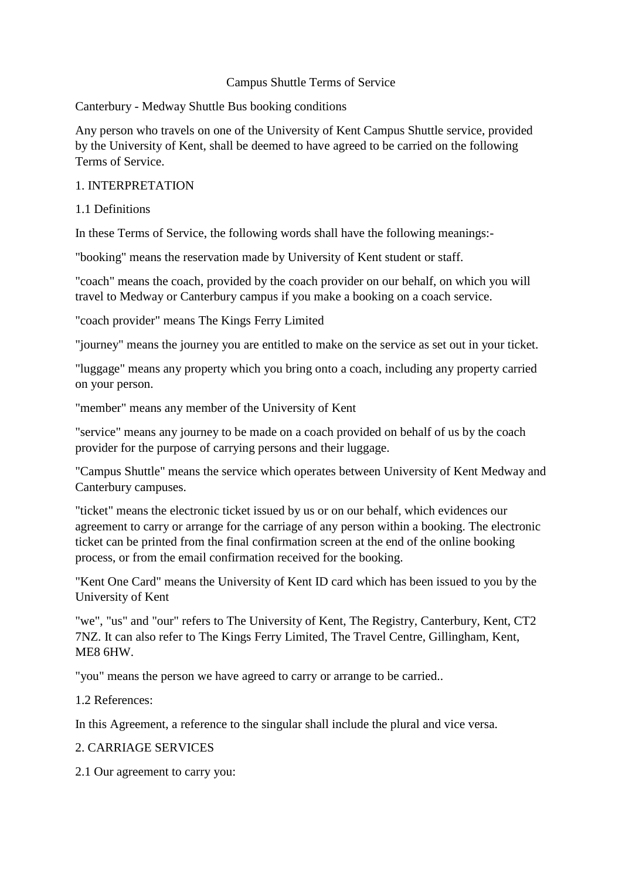#### Campus Shuttle Terms of Service

Canterbury - Medway Shuttle Bus booking conditions

Any person who travels on one of the University of Kent Campus Shuttle service, provided by the University of Kent, shall be deemed to have agreed to be carried on the following Terms of Service.

#### 1. INTERPRETATION

1.1 Definitions

In these Terms of Service, the following words shall have the following meanings:-

"booking" means the reservation made by University of Kent student or staff.

"coach" means the coach, provided by the coach provider on our behalf, on which you will travel to Medway or Canterbury campus if you make a booking on a coach service.

"coach provider" means The Kings Ferry Limited

"journey" means the journey you are entitled to make on the service as set out in your ticket.

"luggage" means any property which you bring onto a coach, including any property carried on your person.

"member" means any member of the University of Kent

"service" means any journey to be made on a coach provided on behalf of us by the coach provider for the purpose of carrying persons and their luggage.

"Campus Shuttle" means the service which operates between University of Kent Medway and Canterbury campuses.

"ticket" means the electronic ticket issued by us or on our behalf, which evidences our agreement to carry or arrange for the carriage of any person within a booking. The electronic ticket can be printed from the final confirmation screen at the end of the online booking process, or from the email confirmation received for the booking.

"Kent One Card" means the University of Kent ID card which has been issued to you by the University of Kent

"we", "us" and "our" refers to The University of Kent, The Registry, Canterbury, Kent, CT2 7NZ. It can also refer to The Kings Ferry Limited, The Travel Centre, Gillingham, Kent, ME8 6HW.

"you" means the person we have agreed to carry or arrange to be carried..

1.2 References:

In this Agreement, a reference to the singular shall include the plural and vice versa.

2. CARRIAGE SERVICES

2.1 Our agreement to carry you: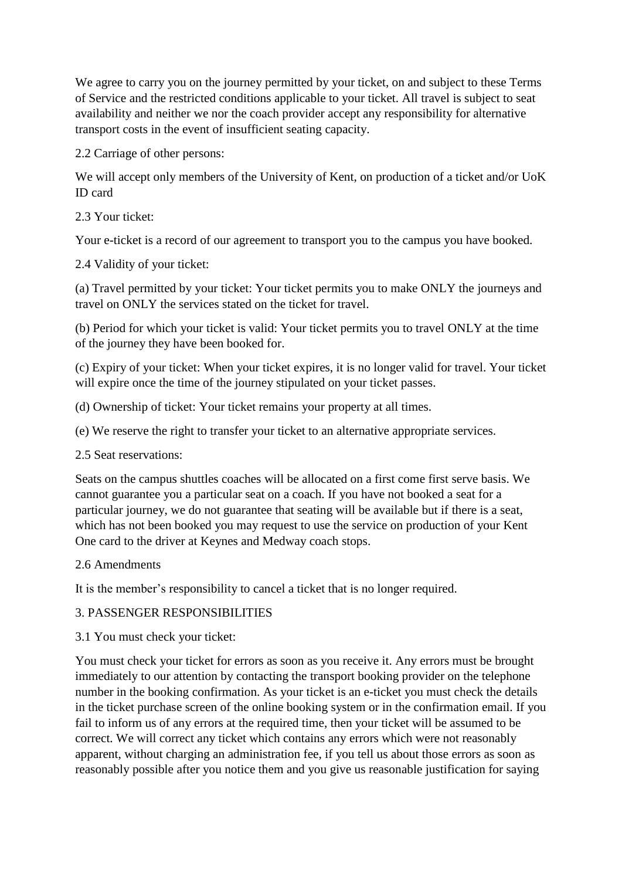We agree to carry you on the journey permitted by your ticket, on and subject to these Terms of Service and the restricted conditions applicable to your ticket. All travel is subject to seat availability and neither we nor the coach provider accept any responsibility for alternative transport costs in the event of insufficient seating capacity.

2.2 Carriage of other persons:

We will accept only members of the University of Kent, on production of a ticket and/or UoK ID card

2.3 Your ticket:

Your e-ticket is a record of our agreement to transport you to the campus you have booked.

2.4 Validity of your ticket:

(a) Travel permitted by your ticket: Your ticket permits you to make ONLY the journeys and travel on ONLY the services stated on the ticket for travel.

(b) Period for which your ticket is valid: Your ticket permits you to travel ONLY at the time of the journey they have been booked for.

(c) Expiry of your ticket: When your ticket expires, it is no longer valid for travel. Your ticket will expire once the time of the journey stipulated on your ticket passes.

- (d) Ownership of ticket: Your ticket remains your property at all times.
- (e) We reserve the right to transfer your ticket to an alternative appropriate services.

2.5 Seat reservations:

Seats on the campus shuttles coaches will be allocated on a first come first serve basis. We cannot guarantee you a particular seat on a coach. If you have not booked a seat for a particular journey, we do not guarantee that seating will be available but if there is a seat, which has not been booked you may request to use the service on production of your Kent One card to the driver at Keynes and Medway coach stops.

## 2.6 Amendments

It is the member's responsibility to cancel a ticket that is no longer required.

## 3. PASSENGER RESPONSIBILITIES

3.1 You must check your ticket:

You must check your ticket for errors as soon as you receive it. Any errors must be brought immediately to our attention by contacting the transport booking provider on the telephone number in the booking confirmation. As your ticket is an e-ticket you must check the details in the ticket purchase screen of the online booking system or in the confirmation email. If you fail to inform us of any errors at the required time, then your ticket will be assumed to be correct. We will correct any ticket which contains any errors which were not reasonably apparent, without charging an administration fee, if you tell us about those errors as soon as reasonably possible after you notice them and you give us reasonable justification for saying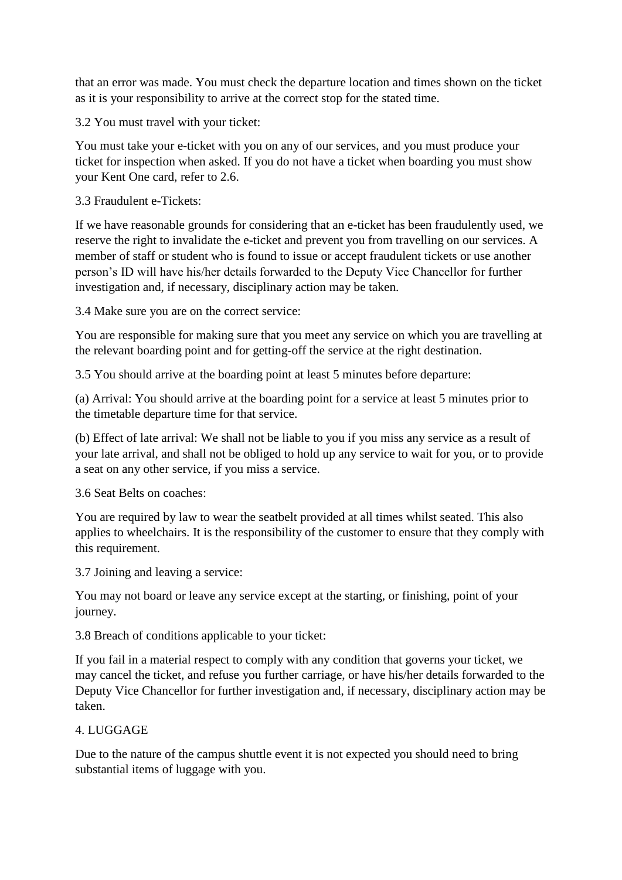that an error was made. You must check the departure location and times shown on the ticket as it is your responsibility to arrive at the correct stop for the stated time.

3.2 You must travel with your ticket:

You must take your e-ticket with you on any of our services, and you must produce your ticket for inspection when asked. If you do not have a ticket when boarding you must show your Kent One card, refer to 2.6.

3.3 Fraudulent e-Tickets:

If we have reasonable grounds for considering that an e-ticket has been fraudulently used, we reserve the right to invalidate the e-ticket and prevent you from travelling on our services. A member of staff or student who is found to issue or accept fraudulent tickets or use another person's ID will have his/her details forwarded to the Deputy Vice Chancellor for further investigation and, if necessary, disciplinary action may be taken.

3.4 Make sure you are on the correct service:

You are responsible for making sure that you meet any service on which you are travelling at the relevant boarding point and for getting-off the service at the right destination.

3.5 You should arrive at the boarding point at least 5 minutes before departure:

(a) Arrival: You should arrive at the boarding point for a service at least 5 minutes prior to the timetable departure time for that service.

(b) Effect of late arrival: We shall not be liable to you if you miss any service as a result of your late arrival, and shall not be obliged to hold up any service to wait for you, or to provide a seat on any other service, if you miss a service.

3.6 Seat Belts on coaches:

You are required by law to wear the seatbelt provided at all times whilst seated. This also applies to wheelchairs. It is the responsibility of the customer to ensure that they comply with this requirement.

3.7 Joining and leaving a service:

You may not board or leave any service except at the starting, or finishing, point of your journey.

3.8 Breach of conditions applicable to your ticket:

If you fail in a material respect to comply with any condition that governs your ticket, we may cancel the ticket, and refuse you further carriage, or have his/her details forwarded to the Deputy Vice Chancellor for further investigation and, if necessary, disciplinary action may be taken.

## 4. LUGGAGE

Due to the nature of the campus shuttle event it is not expected you should need to bring substantial items of luggage with you.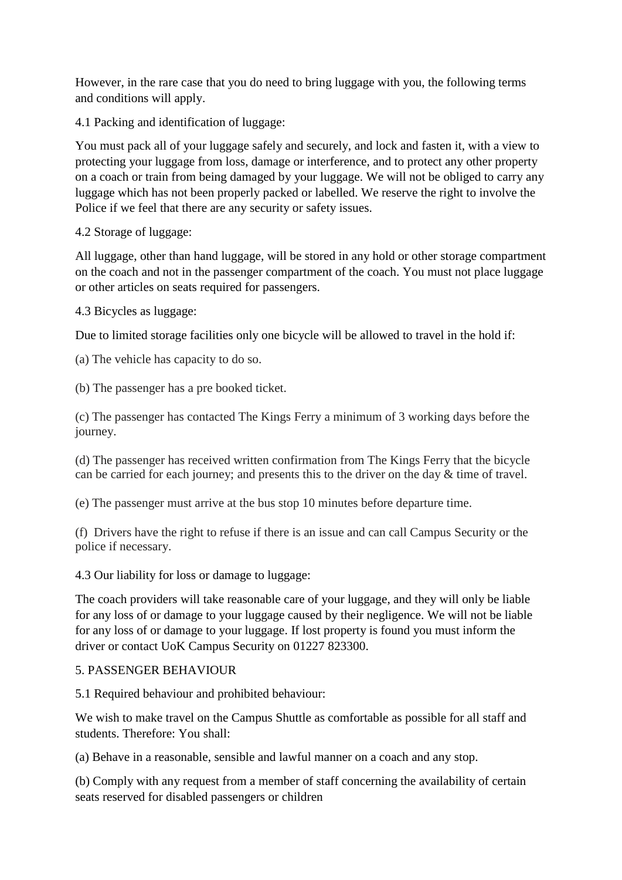However, in the rare case that you do need to bring luggage with you, the following terms and conditions will apply.

4.1 Packing and identification of luggage:

You must pack all of your luggage safely and securely, and lock and fasten it, with a view to protecting your luggage from loss, damage or interference, and to protect any other property on a coach or train from being damaged by your luggage. We will not be obliged to carry any luggage which has not been properly packed or labelled. We reserve the right to involve the Police if we feel that there are any security or safety issues.

4.2 Storage of luggage:

All luggage, other than hand luggage, will be stored in any hold or other storage compartment on the coach and not in the passenger compartment of the coach. You must not place luggage or other articles on seats required for passengers.

4.3 Bicycles as luggage:

Due to limited storage facilities only one bicycle will be allowed to travel in the hold if:

(a) The vehicle has capacity to do so.

(b) The passenger has a pre booked ticket.

(c) The passenger has contacted The Kings Ferry a minimum of 3 working days before the journey.

(d) The passenger has received written confirmation from The Kings Ferry that the bicycle can be carried for each journey; and presents this to the driver on the day & time of travel.

(e) The passenger must arrive at the bus stop 10 minutes before departure time.

(f) Drivers have the right to refuse if there is an issue and can call Campus Security or the police if necessary.

4.3 Our liability for loss or damage to luggage:

The coach providers will take reasonable care of your luggage, and they will only be liable for any loss of or damage to your luggage caused by their negligence. We will not be liable for any loss of or damage to your luggage. If lost property is found you must inform the driver or contact UoK Campus Security on 01227 823300.

#### 5. PASSENGER BEHAVIOUR

5.1 Required behaviour and prohibited behaviour:

We wish to make travel on the Campus Shuttle as comfortable as possible for all staff and students. Therefore: You shall:

(a) Behave in a reasonable, sensible and lawful manner on a coach and any stop.

(b) Comply with any request from a member of staff concerning the availability of certain seats reserved for disabled passengers or children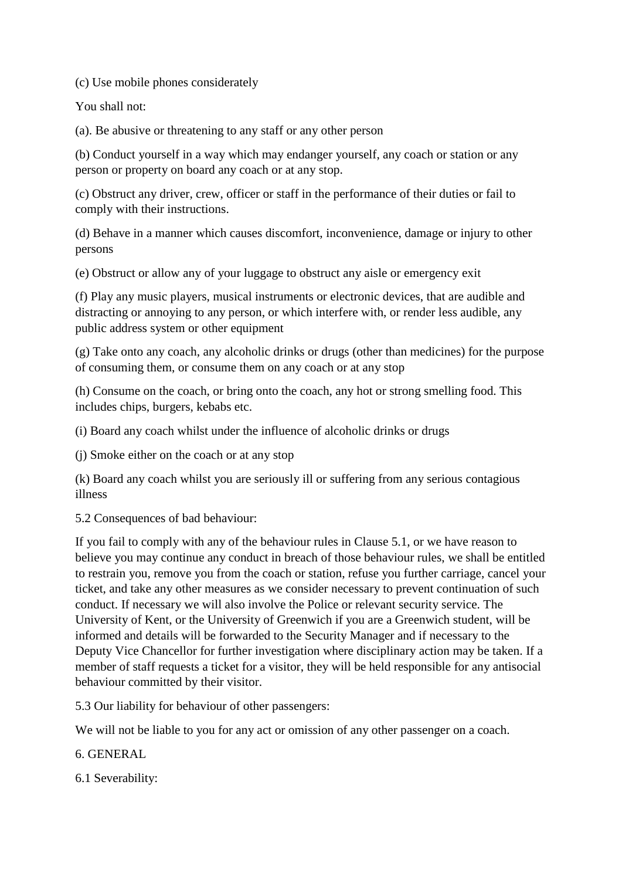(c) Use mobile phones considerately

You shall not:

(a). Be abusive or threatening to any staff or any other person

(b) Conduct yourself in a way which may endanger yourself, any coach or station or any person or property on board any coach or at any stop.

(c) Obstruct any driver, crew, officer or staff in the performance of their duties or fail to comply with their instructions.

(d) Behave in a manner which causes discomfort, inconvenience, damage or injury to other persons

(e) Obstruct or allow any of your luggage to obstruct any aisle or emergency exit

(f) Play any music players, musical instruments or electronic devices, that are audible and distracting or annoying to any person, or which interfere with, or render less audible, any public address system or other equipment

(g) Take onto any coach, any alcoholic drinks or drugs (other than medicines) for the purpose of consuming them, or consume them on any coach or at any stop

(h) Consume on the coach, or bring onto the coach, any hot or strong smelling food. This includes chips, burgers, kebabs etc.

(i) Board any coach whilst under the influence of alcoholic drinks or drugs

(j) Smoke either on the coach or at any stop

(k) Board any coach whilst you are seriously ill or suffering from any serious contagious illness

5.2 Consequences of bad behaviour:

If you fail to comply with any of the behaviour rules in Clause 5.1, or we have reason to believe you may continue any conduct in breach of those behaviour rules, we shall be entitled to restrain you, remove you from the coach or station, refuse you further carriage, cancel your ticket, and take any other measures as we consider necessary to prevent continuation of such conduct. If necessary we will also involve the Police or relevant security service. The University of Kent, or the University of Greenwich if you are a Greenwich student, will be informed and details will be forwarded to the Security Manager and if necessary to the Deputy Vice Chancellor for further investigation where disciplinary action may be taken. If a member of staff requests a ticket for a visitor, they will be held responsible for any antisocial behaviour committed by their visitor.

5.3 Our liability for behaviour of other passengers:

We will not be liable to you for any act or omission of any other passenger on a coach.

6. GENERAL

6.1 Severability: